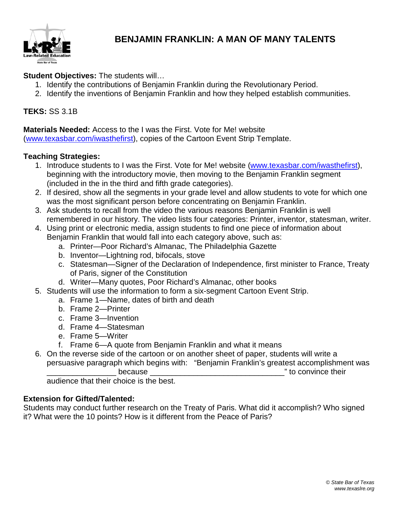

# **BENJAMIN FRANKLIN: A MAN OF MANY TALENTS**

**Student Objectives:** The students will…

- 1. Identify the contributions of Benjamin Franklin during the Revolutionary Period.
- 2. Identify the inventions of Benjamin Franklin and how they helped establish communities.

## **TEKS:** SS 3.1B

**Materials Needed:** Access to the I was the First. Vote for Me! website [\(www.texasbar.com/iwasthefirst\)](http://www.texasbar.com/iwasthefirst), copies of the Cartoon Event Strip Template.

#### **Teaching Strategies:**

- 1. Introduce students to I was the First. Vote for Me! website [\(www.texasbar.com/iwasthefirst\)](http://www.texasbar.com/iwasthefirst), beginning with the introductory movie, then moving to the Benjamin Franklin segment (included in the in the third and fifth grade categories).
- 2. If desired, show all the segments in your grade level and allow students to vote for which one was the most significant person before concentrating on Benjamin Franklin.
- 3. Ask students to recall from the video the various reasons Benjamin Franklin is well remembered in our history. The video lists four categories: Printer, inventor, statesman, writer.
- 4. Using print or electronic media, assign students to find one piece of information about Benjamin Franklin that would fall into each category above, such as:
	- a. Printer—Poor Richard's Almanac, The Philadelphia Gazette
	- b. Inventor—Lightning rod, bifocals, stove
	- c. Statesman—Signer of the Declaration of Independence, first minister to France, Treaty of Paris, signer of the Constitution
	- d. Writer—Many quotes, Poor Richard's Almanac, other books
- 5. Students will use the information to form a six-segment Cartoon Event Strip.
	- a. Frame 1—Name, dates of birth and death
	- b. Frame 2—Printer
	- c. Frame 3—Invention
	- d. Frame 4—Statesman
	- e. Frame 5—Writer
	- f. Frame 6—A quote from Benjamin Franklin and what it means
- 6. On the reverse side of the cartoon or on another sheet of paper, students will write a persuasive paragraph which begins with: "Benjamin Franklin's greatest accomplishment was because **because because**  $\blacksquare$

audience that their choice is the best.

## **Extension for Gifted/Talented:**

Students may conduct further research on the Treaty of Paris. What did it accomplish? Who signed it? What were the 10 points? How is it different from the Peace of Paris?